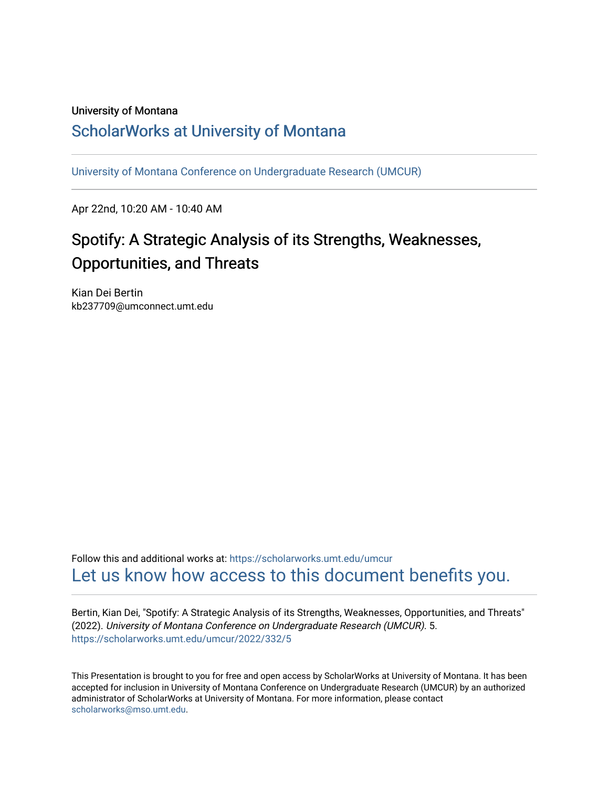#### University of Montana

#### [ScholarWorks at University of Montana](https://scholarworks.umt.edu/)

[University of Montana Conference on Undergraduate Research \(UMCUR\)](https://scholarworks.umt.edu/umcur)

Apr 22nd, 10:20 AM - 10:40 AM

### Spotify: A Strategic Analysis of its Strengths, Weaknesses, Opportunities, and Threats

Kian Dei Bertin kb237709@umconnect.umt.edu

Follow this and additional works at: [https://scholarworks.umt.edu/umcur](https://scholarworks.umt.edu/umcur?utm_source=scholarworks.umt.edu%2Fumcur%2F2022%2F332%2F5&utm_medium=PDF&utm_campaign=PDFCoverPages)  [Let us know how access to this document benefits you.](https://goo.gl/forms/s2rGfXOLzz71qgsB2) 

Bertin, Kian Dei, "Spotify: A Strategic Analysis of its Strengths, Weaknesses, Opportunities, and Threats" (2022). University of Montana Conference on Undergraduate Research (UMCUR). 5. [https://scholarworks.umt.edu/umcur/2022/332/5](https://scholarworks.umt.edu/umcur/2022/332/5?utm_source=scholarworks.umt.edu%2Fumcur%2F2022%2F332%2F5&utm_medium=PDF&utm_campaign=PDFCoverPages)

This Presentation is brought to you for free and open access by ScholarWorks at University of Montana. It has been accepted for inclusion in University of Montana Conference on Undergraduate Research (UMCUR) by an authorized administrator of ScholarWorks at University of Montana. For more information, please contact [scholarworks@mso.umt.edu.](mailto:scholarworks@mso.umt.edu)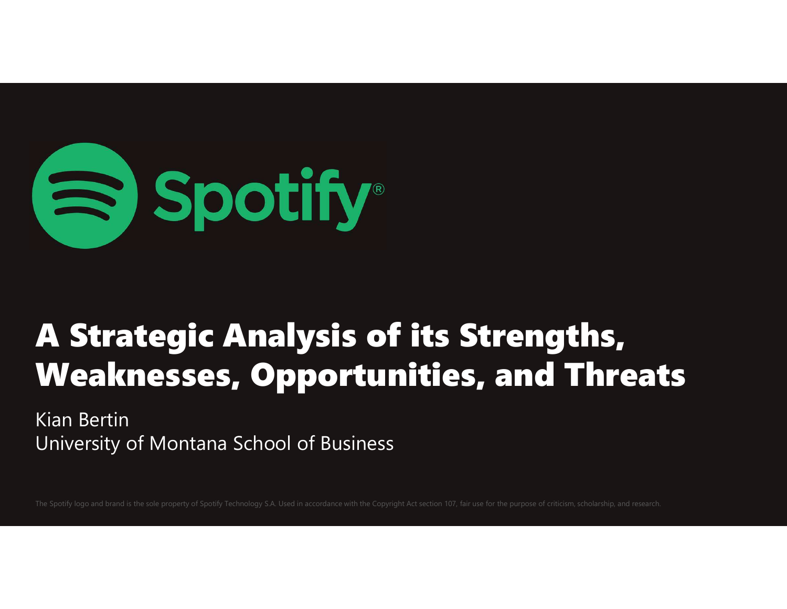

### A Strategic Analysis of its Strengths, Weaknesses, Opportunities, and Threats

Kian Bertin University of Montana School of Business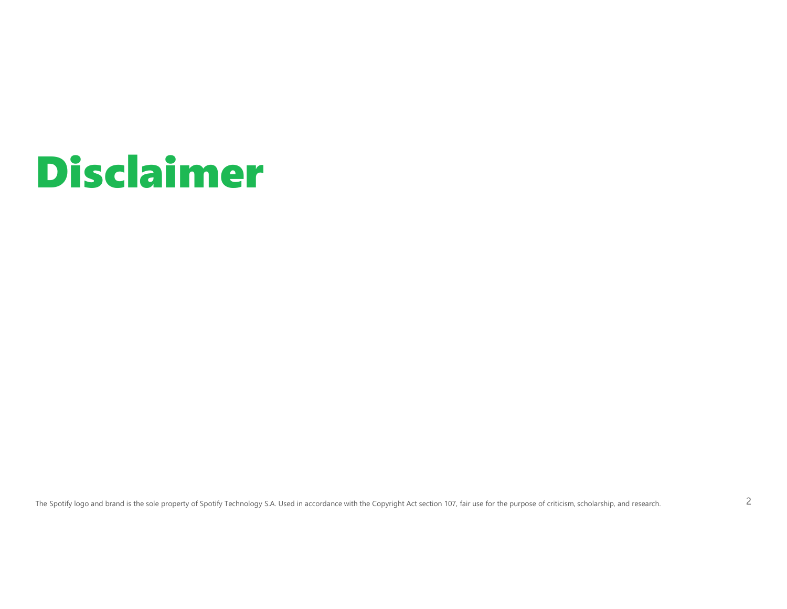### Disclaimer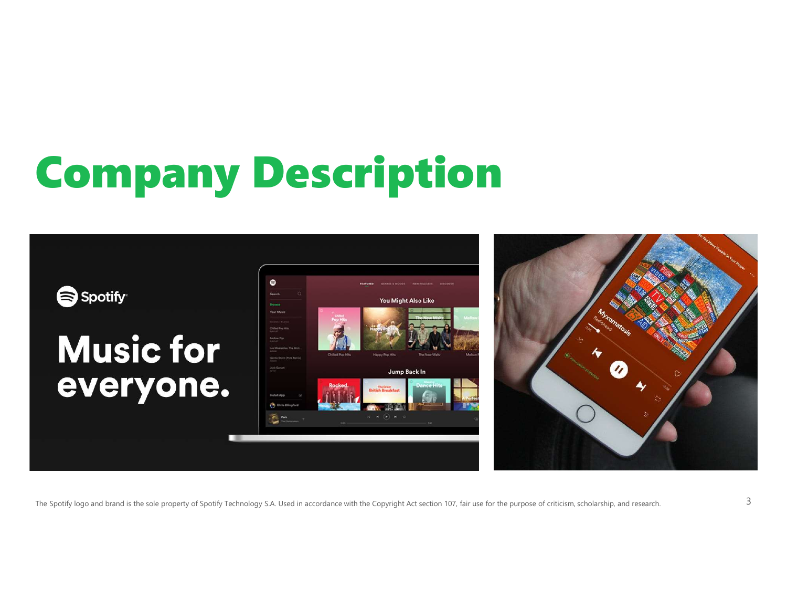## Company Description

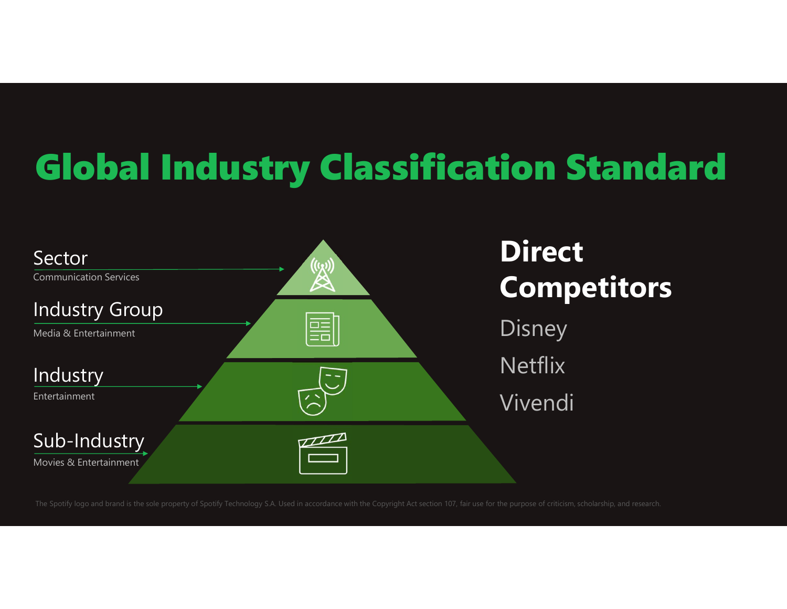### Global Industry Classification Standard

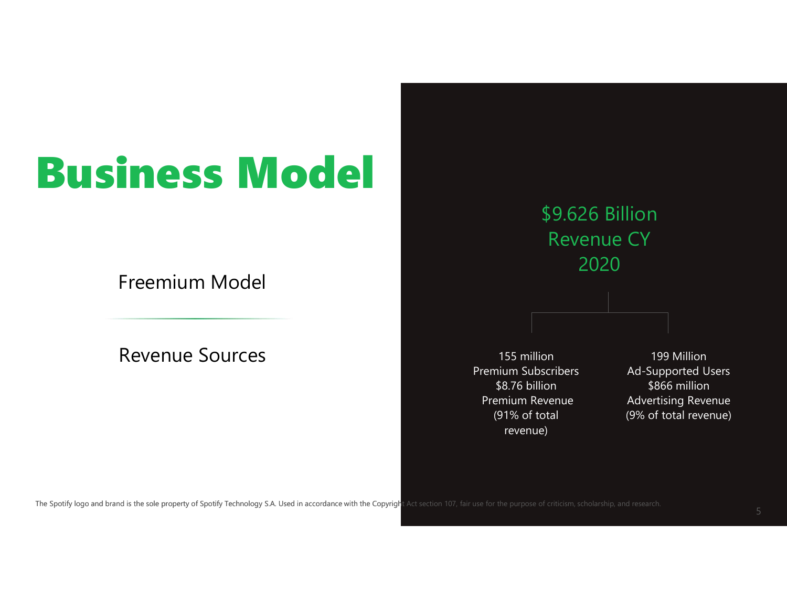### Business Model

Freemium Model

Revenue Sources



155 million Premium Revenue (91% of total revenue)

199 Million Ad-Supported Users Premium Subscribers \$866 million \$8.76 billion Advertising Revenue (9% of total revenue)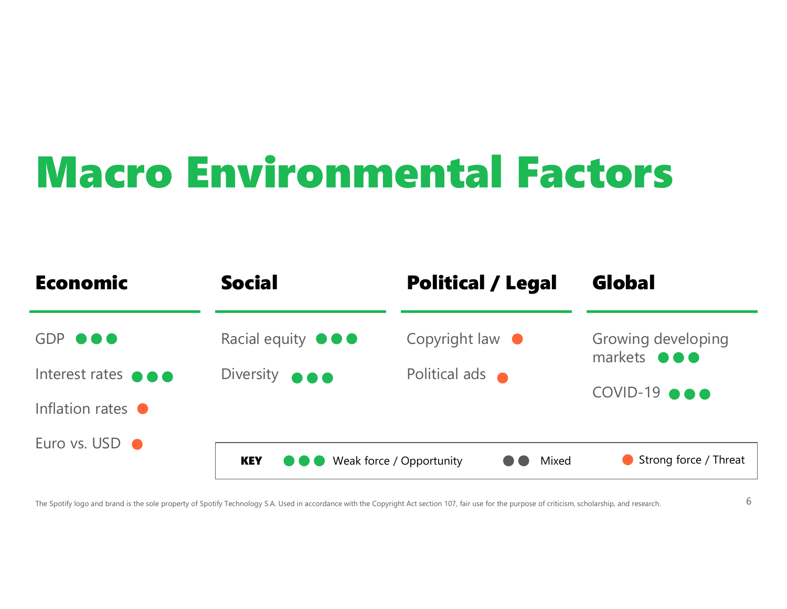### Macro Environmental Factors

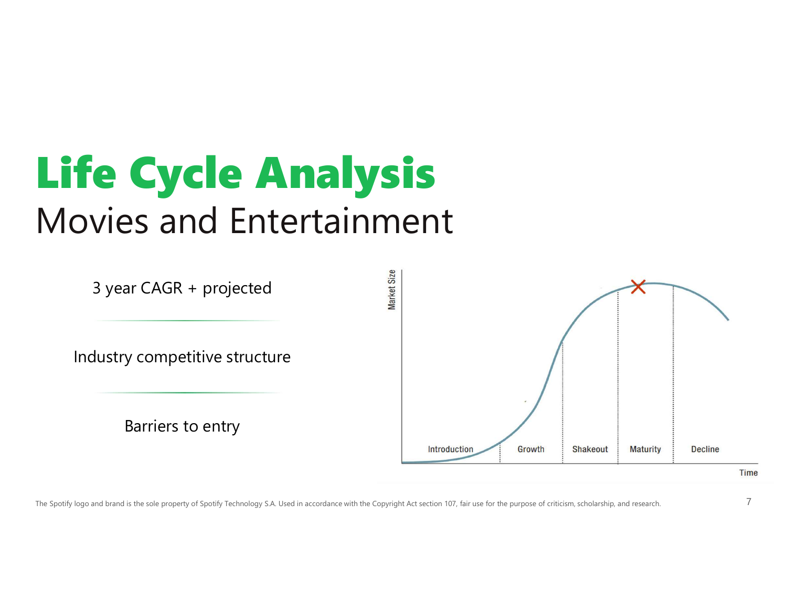### Life Cycle Analysis Movies and Entertainment

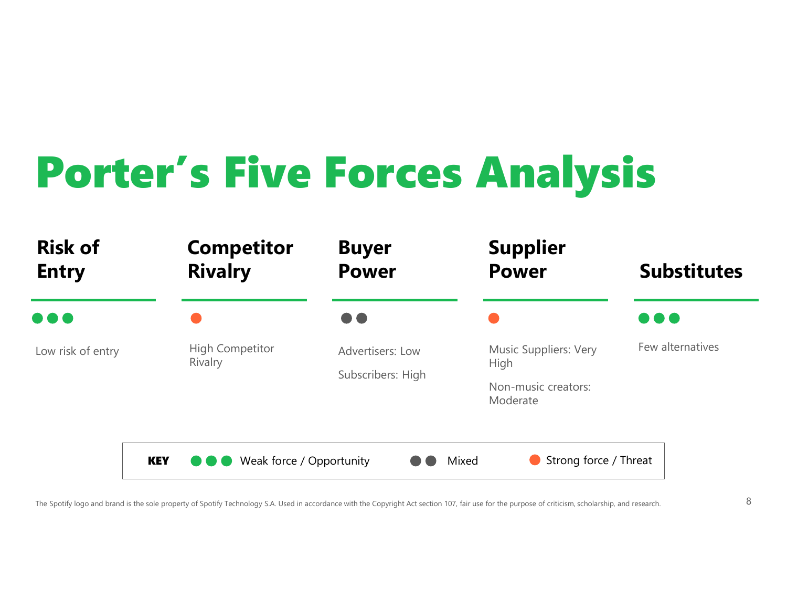### Porter's Five Forces Analysis

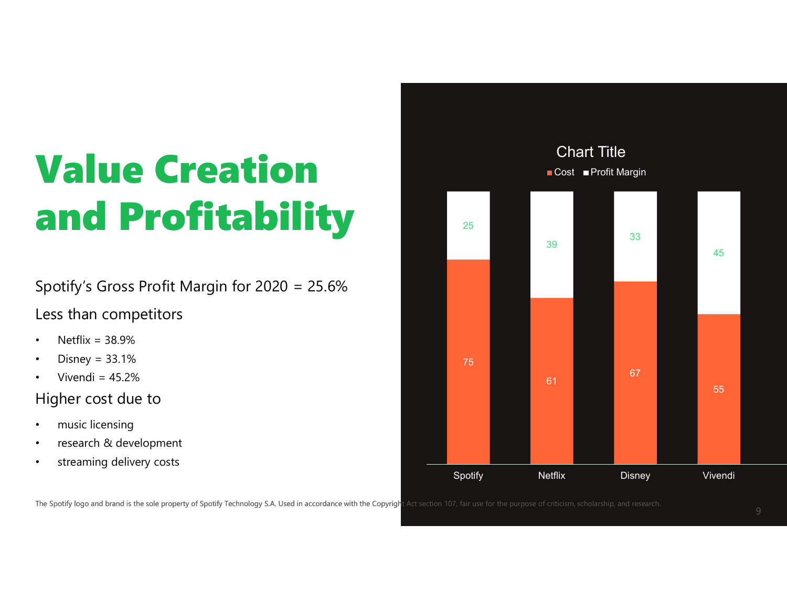### Value Creation and Profitability **Lister**

Spotify's Gross Profit Margin for 2020 = 25.6%

#### Less than competitors

- Netflix =  $38.9%$
- Disney = 33.1%
- Vivendi =  $45.2\%$

#### Higher cost due to

- music licensing
- research & development
- streaming delivery costs

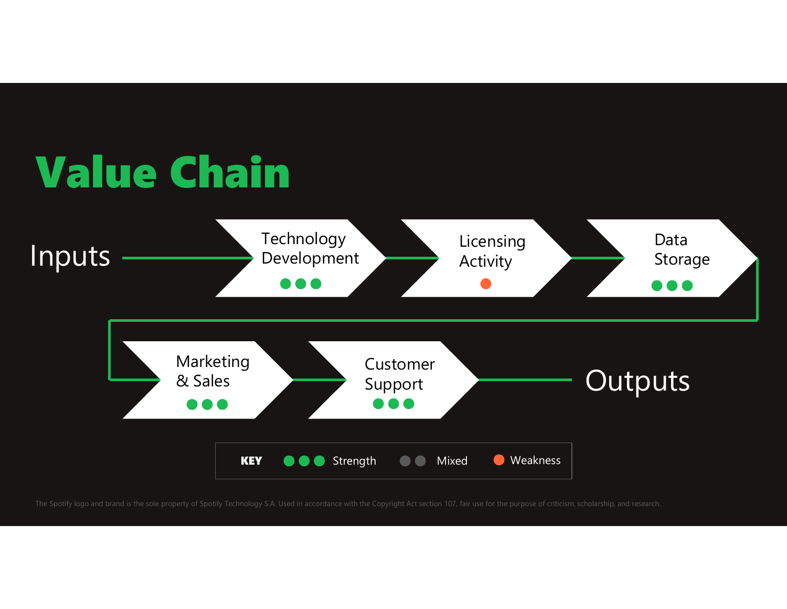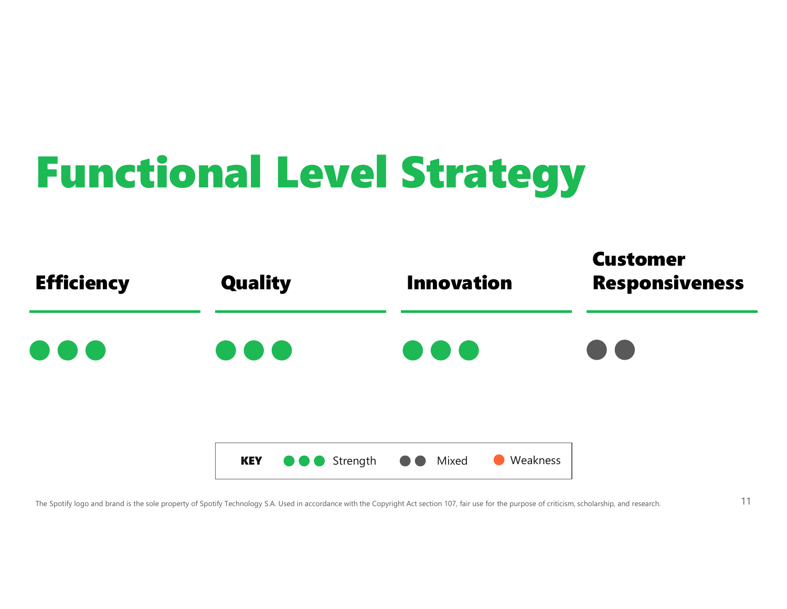### Functional Level Strategy

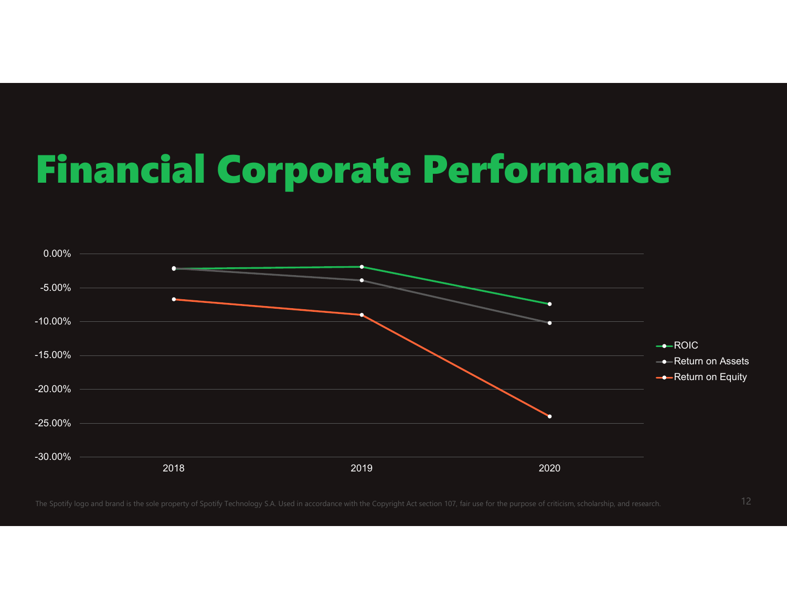### Financial Corporate Performance

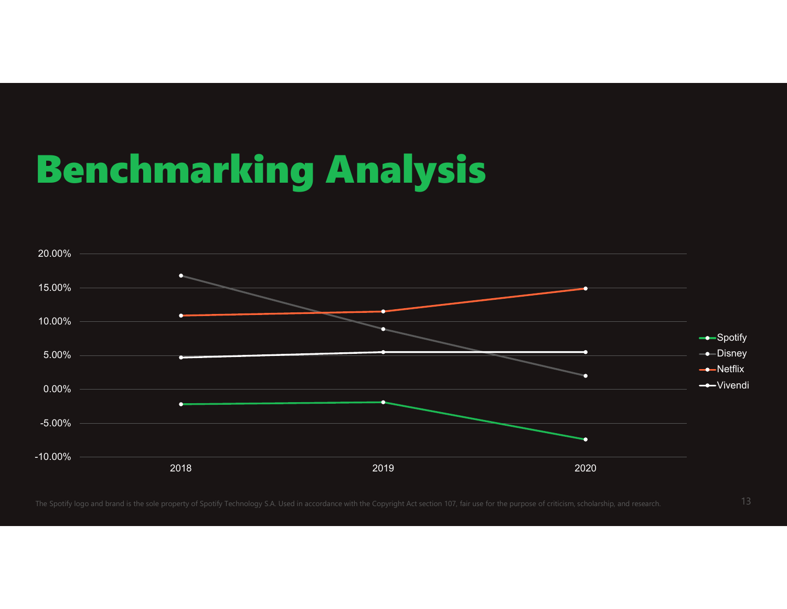### Benchmarking Analysis

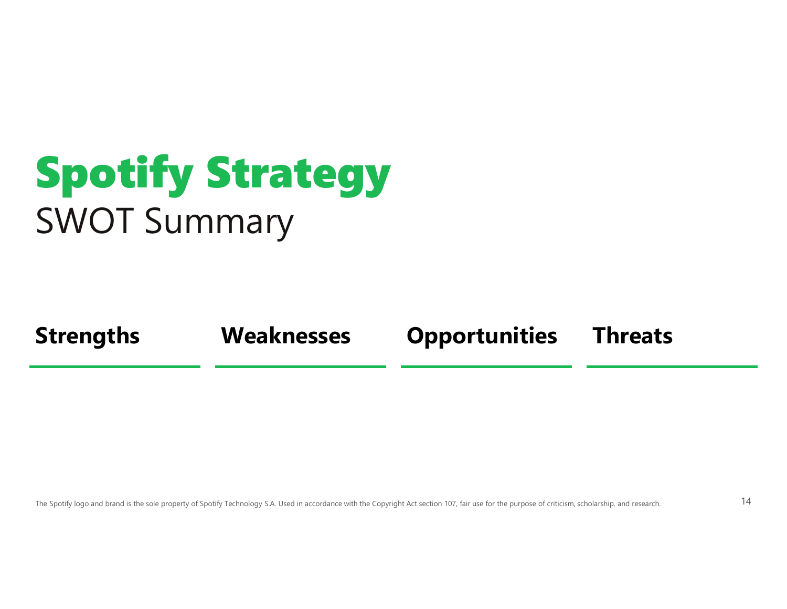### Spotify Strategy SWOT Summary

Strengths Weaknesses Opportunities Threats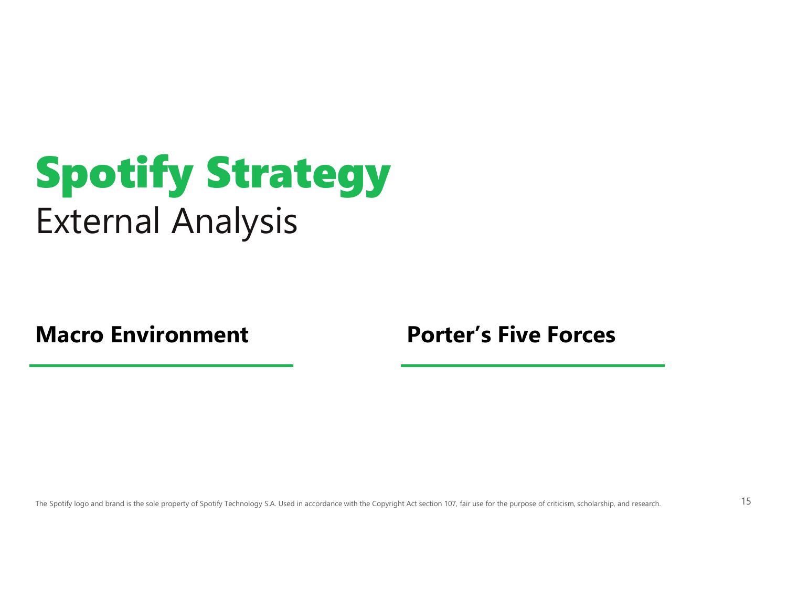### Spotify Strategy External Analysis

Macro Environment **Porter's Five Forces**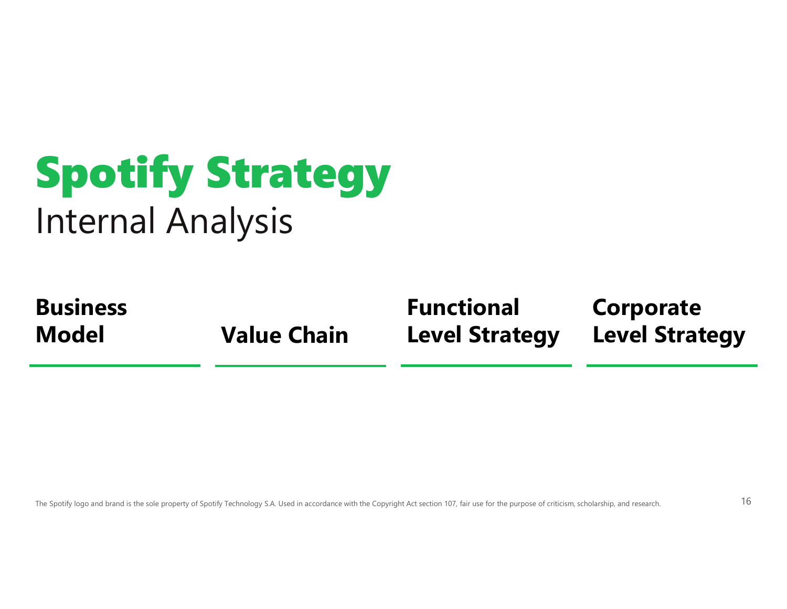### Spotify Strategy Internal Analysis

Business Model **Model** Value Chain Level Strategy Level Strate

Functional

Corporate Level Strategy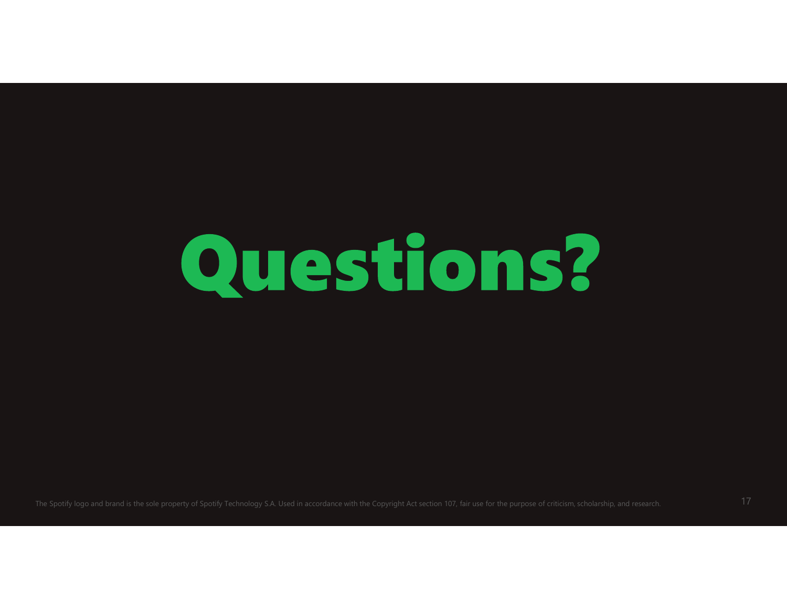# Questions?